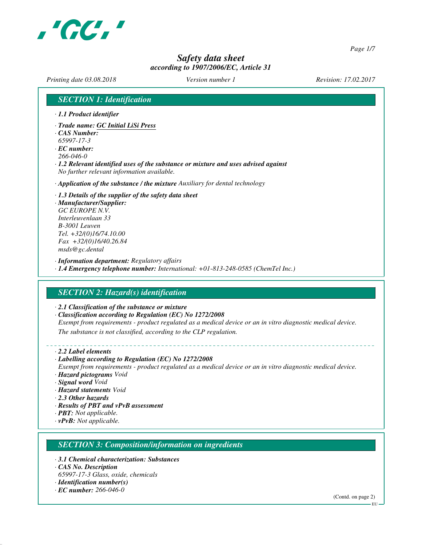

*Page 1/7*

## *Safety data sheet according to 1907/2006/EC, Article 31*

*Printing date 03.08.2018 Version number 1 Revision: 17.02.2017*

*SECTION 1: Identification · 1.1 Product identifier · Trade name: GC Initial LiSi Press · CAS Number: 65997-17-3 · EC number: 266-046-0 · 1.2 Relevant identified uses of the substance or mixture and uses advised against No further relevant information available. · Application of the substance / the mixture Auxiliary for dental technology · 1.3 Details of the supplier of the safety data sheet · Manufacturer/Supplier: GC EUROPE N.V. Interleuvenlaan 33 B-3001 Leuven Tel. +32/(0)16/74.10.00 Fax +32/(0)16/40.26.84 msds@gc.dental · Information department: Regulatory affairs · 1.4 Emergency telephone number: International: +01-813-248-0585 (ChemTel Inc.) SECTION 2: Hazard(s) identification · 2.1 Classification of the substance or mixture · Classification according to Regulation (EC) No 1272/2008 Exempt from requirements - product regulated as a medical device or an in vitro diagnostic medical device. The substance is not classified, according to the CLP regulation. · 2.2 Label elements · Labelling according to Regulation (EC) No 1272/2008 Exempt from requirements - product regulated as a medical device or an in vitro diagnostic medical device. · Hazard pictograms Void · Signal word Void · Hazard statements Void · 2.3 Other hazards · Results of PBT and vPvB assessment · PBT: Not applicable. · vPvB: Not applicable. SECTION 3: Composition/information on ingredients · 3.1 Chemical characterization: Substances · CAS No. Description 65997-17-3 Glass, oxide, chemicals · Identification number(s) · EC number: 266-046-0*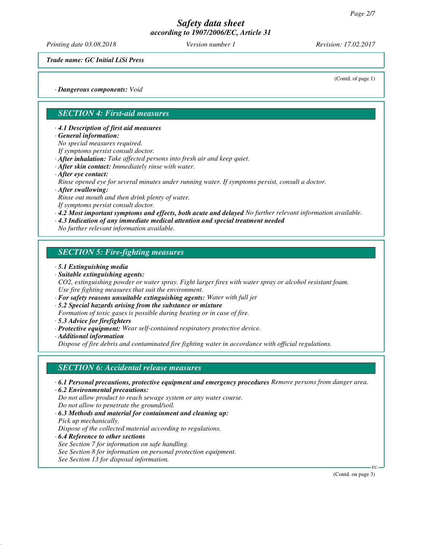*Printing date 03.08.2018 Version number 1 Revision: 17.02.2017*

(Contd. of page 1)

*Trade name: GC Initial LiSi Press*

*· Dangerous components: Void*

### *SECTION 4: First-aid measures*

*· 4.1 Description of first aid measures*

*· General information:*

*No special measures required.*

*If symptoms persist consult doctor.*

*· After inhalation: Take affected persons into fresh air and keep quiet.*

*· After skin contact: Immediately rinse with water.*

*· After eye contact:*

*Rinse opened eye for several minutes under running water. If symptoms persist, consult a doctor.*

*· After swallowing:*

*Rinse out mouth and then drink plenty of water.*

*If symptoms persist consult doctor.*

*· 4.2 Most important symptoms and effects, both acute and delayed No further relevant information available.*

*· 4.3 Indication of any immediate medical attention and special treatment needed*

*No further relevant information available.*

### *SECTION 5: Fire-fighting measures*

- *· 5.1 Extinguishing media*
- *· Suitable extinguishing agents: CO2, extinguishing powder or water spray. Fight larger fires with water spray or alcohol resistant foam.*

*Use fire fighting measures that suit the environment.*

*· For safety reasons unsuitable extinguishing agents: Water with full jet*

*· 5.2 Special hazards arising from the substance or mixture*

- *Formation of toxic gases is possible during heating or in case of fire.*
- *· 5.3 Advice for firefighters*
- *· Protective equipment: Wear self-contained respiratory protective device.*
- *· Additional information*

*Dispose of fire debris and contaminated fire fighting water in accordance with official regulations.*

#### *SECTION 6: Accidental release measures*

*· 6.1 Personal precautions, protective equipment and emergency procedures Remove persons from danger area.*

*· 6.2 Environmental precautions:*

*Do not allow product to reach sewage system or any water course.*

*Do not allow to penetrate the ground/soil.*

*· 6.3 Methods and material for containment and cleaning up: Pick up mechanically. Dispose of the collected material according to regulations.*

*· 6.4 Reference to other sections*

*See Section 7 for information on safe handling. See Section 8 for information on personal protection equipment. See Section 13 for disposal information.*

(Contd. on page 3)

EU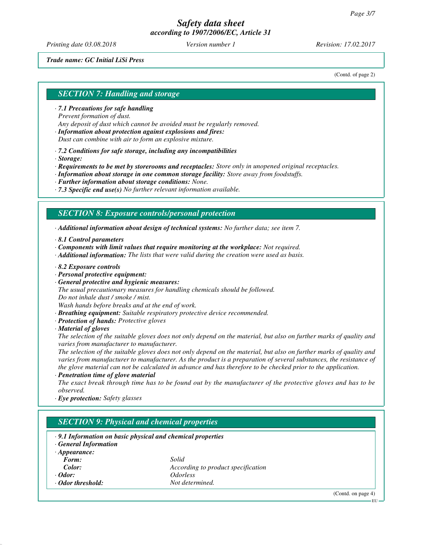*Printing date 03.08.2018 Version number 1 Revision: 17.02.2017*

#### *Trade name: GC Initial LiSi Press*

(Contd. of page 2)

# *SECTION 7: Handling and storage*

*· 7.1 Precautions for safe handling Prevent formation of dust. Any deposit of dust which cannot be avoided must be regularly removed.*

*· Information about protection against explosions and fires: Dust can combine with air to form an explosive mixture.*

*· 7.2 Conditions for safe storage, including any incompatibilities*

*· Storage:*

*· Requirements to be met by storerooms and receptacles: Store only in unopened original receptacles.*

*· Information about storage in one common storage facility: Store away from foodstuffs.*

*· Further information about storage conditions: None.*

*· 7.3 Specific end use(s) No further relevant information available.*

#### *SECTION 8: Exposure controls/personal protection*

*· Additional information about design of technical systems: No further data; see item 7.*

*· 8.1 Control parameters*

*· Components with limit values that require monitoring at the workplace: Not required.*

*· Additional information: The lists that were valid during the creation were used as basis.*

*· 8.2 Exposure controls*

*· Personal protective equipment:*

*· General protective and hygienic measures:*

*The usual precautionary measures for handling chemicals should be followed.*

*Do not inhale dust / smoke / mist.*

*Wash hands before breaks and at the end of work.*

*· Breathing equipment: Suitable respiratory protective device recommended.*

*· Protection of hands: Protective gloves*

*· Material of gloves*

*The selection of the suitable gloves does not only depend on the material, but also on further marks of quality and varies from manufacturer to manufacturer.*

*The selection of the suitable gloves does not only depend on the material, but also on further marks of quality and varies from manufacturer to manufacturer. As the product is a preparation of several substances, the resistance of the glove material can not be calculated in advance and has therefore to be checked prior to the application.*

*· Penetration time of glove material*

*The exact break through time has to be found out by the manufacturer of the protective gloves and has to be observed.*

*· Eye protection: Safety glasses*

## *SECTION 9: Physical and chemical properties*

*· 9.1 Information on basic physical and chemical properties*

*· General Information*

| $\cdot$ Appearance: |       |
|---------------------|-------|
| <i>Form:</i>        | Solid |
| Calor               | Acco  |

*Color: According to product specification · Odor: Odorless · Odor threshold: Not determined.*

(Contd. on page 4)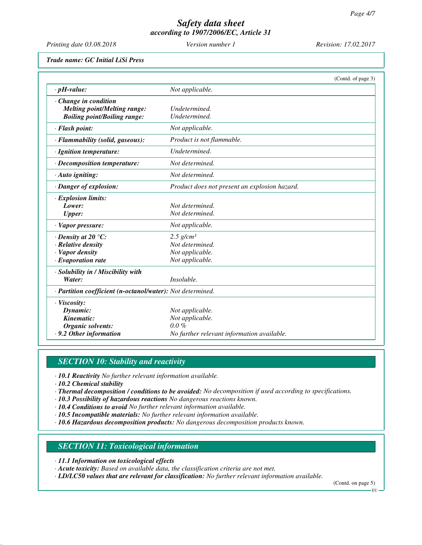*Printing date 03.08.2018 Version number 1 Revision: 17.02.2017*

*Trade name: GC Initial LiSi Press*

|                                                            |                                               | (Contd. of page 3) |
|------------------------------------------------------------|-----------------------------------------------|--------------------|
| $\cdot$ pH-value:                                          | Not applicable.                               |                    |
| Change in condition                                        |                                               |                    |
| <b>Melting point/Melting range:</b>                        | Undetermined.                                 |                    |
| <b>Boiling point/Boiling range:</b>                        | Undetermined.                                 |                    |
| · Flash point:                                             | Not applicable.                               |                    |
| · Flammability (solid, gaseous):                           | Product is not flammable.                     |                    |
| · Ignition temperature:                                    | Undetermined.                                 |                    |
| · Decomposition temperature:                               | Not determined.                               |                    |
| · Auto igniting:                                           | Not determined.                               |                    |
| · Danger of explosion:                                     | Product does not present an explosion hazard. |                    |
| · Explosion limits:                                        |                                               |                    |
| Lower:                                                     | Not determined.                               |                    |
| <b>Upper:</b>                                              | Not determined.                               |                    |
| · Vapor pressure:                                          | Not applicable.                               |                    |
| $\cdot$ Density at 20 $\degree$ C:                         | $2.5$ g/cm <sup>3</sup>                       |                    |
| $\cdot$ Relative density                                   | Not determined.                               |                    |
| · Vapor density                                            | Not applicable.                               |                    |
| $\cdot$ Evaporation rate                                   | Not applicable.                               |                    |
| · Solubility in / Miscibility with                         |                                               |                    |
| Water:                                                     | Insoluble.                                    |                    |
| · Partition coefficient (n-octanol/water): Not determined. |                                               |                    |
| $\cdot$ Viscosity:                                         |                                               |                    |
| Dynamic:                                                   | Not applicable.                               |                    |
| Kinematic:                                                 | Not applicable.                               |                    |
| <b>Organic solvents:</b>                                   | $0.0\%$                                       |                    |
| .9.2 Other information                                     | No further relevant information available.    |                    |

# *SECTION 10: Stability and reactivity*

- *· 10.1 Reactivity No further relevant information available.*
- *· 10.2 Chemical stability*
- *· Thermal decomposition / conditions to be avoided: No decomposition if used according to specifications.*
- *· 10.3 Possibility of hazardous reactions No dangerous reactions known.*
- *· 10.4 Conditions to avoid No further relevant information available.*
- *· 10.5 Incompatible materials: No further relevant information available.*
- *· 10.6 Hazardous decomposition products: No dangerous decomposition products known.*

#### *SECTION 11: Toxicological information*

- *· 11.1 Information on toxicological effects*
- *· Acute toxicity: Based on available data, the classification criteria are not met.*
- *· LD/LC50 values that are relevant for classification: No further relevant information available.*

(Contd. on page 5)

EU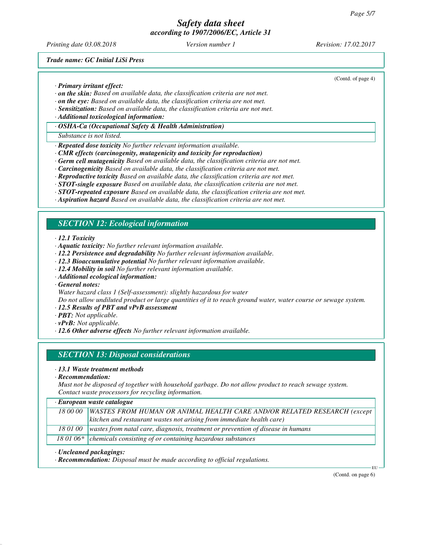*Printing date 03.08.2018 Version number 1 Revision: 17.02.2017*

(Contd. of page 4)

*Trade name: GC Initial LiSi Press*

*· Primary irritant effect:*

- *· on the skin: Based on available data, the classification criteria are not met.*
- *· on the eye: Based on available data, the classification criteria are not met.*
- *· Sensitization: Based on available data, the classification criteria are not met.*
- *· Additional toxicological information:*
- *· OSHA-Ca (Occupational Safety & Health Administration)*

#### *Substance is not listed.*

- *· Repeated dose toxicity No further relevant information available.*
- *· CMR effects (carcinogenity, mutagenicity and toxicity for reproduction)*
- *· Germ cell mutagenicity Based on available data, the classification criteria are not met.*
- *· Carcinogenicity Based on available data, the classification criteria are not met.*
- *· Reproductive toxicity Based on available data, the classification criteria are not met.*
- *· STOT-single exposure Based on available data, the classification criteria are not met.*
- *· STOT-repeated exposure Based on available data, the classification criteria are not met.*
- *· Aspiration hazard Based on available data, the classification criteria are not met.*

## *SECTION 12: Ecological information*

*· 12.1 Toxicity*

- *· Aquatic toxicity: No further relevant information available.*
- *· 12.2 Persistence and degradability No further relevant information available.*
- *· 12.3 Bioaccumulative potential No further relevant information available.*
- *· 12.4 Mobility in soil No further relevant information available.*
- *· Additional ecological information:*
- *· General notes:*
- *Water hazard class 1 (Self-assessment): slightly hazardous for water*

*Do not allow undiluted product or large quantities of it to reach ground water, water course or sewage system.*

- *· 12.5 Results of PBT and vPvB assessment*
- *· PBT: Not applicable.*
- *· vPvB: Not applicable.*
- *· 12.6 Other adverse effects No further relevant information available.*

#### *SECTION 13: Disposal considerations*

#### *· 13.1 Waste treatment methods*

*· Recommendation:*

*Must not be disposed of together with household garbage. Do not allow product to reach sewage system. Contact waste processors for recycling information.*

#### *· European waste catalogue*

| 18 00 00 | WASTES FROM HUMAN OR ANIMAL HEALTH CARE AND/OR RELATED RESEARCH (except                    |
|----------|--------------------------------------------------------------------------------------------|
|          | $\vert$ kitchen and restaurant wastes not arising from immediate health care)              |
|          | 18 01 00   wastes from natal care, diagnosis, treatment or prevention of disease in humans |
|          | 18 01 06 $*$ chemicals consisting of or containing hazardous substances                    |

#### *· Uncleaned packagings:*

*· Recommendation: Disposal must be made according to official regulations.*

(Contd. on page 6)

EU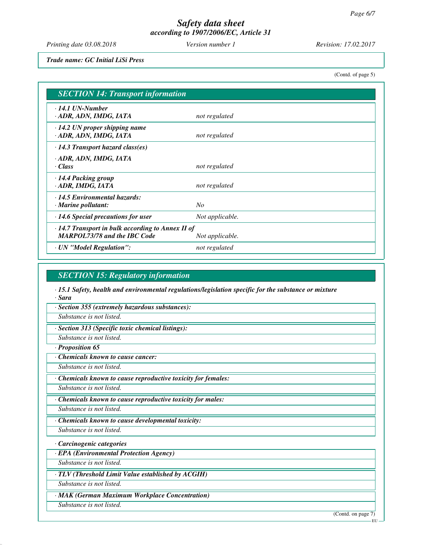*Printing date 03.08.2018 Version number 1 Revision: 17.02.2017*

*Trade name: GC Initial LiSi Press*

(Contd. of page 5)

| <b>SECTION 14: Transport information</b>                                                                          |                 |  |
|-------------------------------------------------------------------------------------------------------------------|-----------------|--|
| $\cdot$ 14.1 UN-Number<br>ADR, ADN, IMDG, IATA                                                                    | not regulated   |  |
| $\cdot$ 14.2 UN proper shipping name<br>· ADR, ADN, IMDG, IATA                                                    | not regulated   |  |
| $\cdot$ 14.3 Transport hazard class(es)                                                                           |                 |  |
| · ADR, ADN, IMDG, IATA<br>· Class                                                                                 | not regulated   |  |
| · 14.4 Packing group<br>· ADR, IMDG, IATA                                                                         | not regulated   |  |
| $\cdot$ 14.5 Environmental hazards:<br>$\cdot$ Marine pollutant:                                                  | $N_{O}$         |  |
| $\cdot$ 14.6 Special precautions for user                                                                         | Not applicable. |  |
| $\cdot$ 14.7 Transport in bulk according to Annex II of<br><b>MARPOL73/78 and the IBC Code</b><br>Not applicable. |                 |  |
| · UN "Model Regulation":                                                                                          | not regulated   |  |

### *SECTION 15: Regulatory information*

*· 15.1 Safety, health and environmental regulations/legislation specific for the substance or mixture · Sara*

*· Section 355 (extremely hazardous substances):*

*Substance is not listed.*

*· Section 313 (Specific toxic chemical listings):*

*Substance is not listed.*

*· Proposition 65*

*· Chemicals known to cause cancer:*

*Substance is not listed.*

*· Chemicals known to cause reproductive toxicity for females:*

*Substance is not listed.*

*· Chemicals known to cause reproductive toxicity for males:*

*Substance is not listed.*

*· Chemicals known to cause developmental toxicity:*

*Substance is not listed.*

*· Carcinogenic categories*

*· EPA (Environmental Protection Agency)*

*Substance is not listed.*

*· TLV (Threshold Limit Value established by ACGIH)*

*Substance is not listed.*

*· MAK (German Maximum Workplace Concentration)*

*Substance is not listed.*

(Contd. on page 7) EU